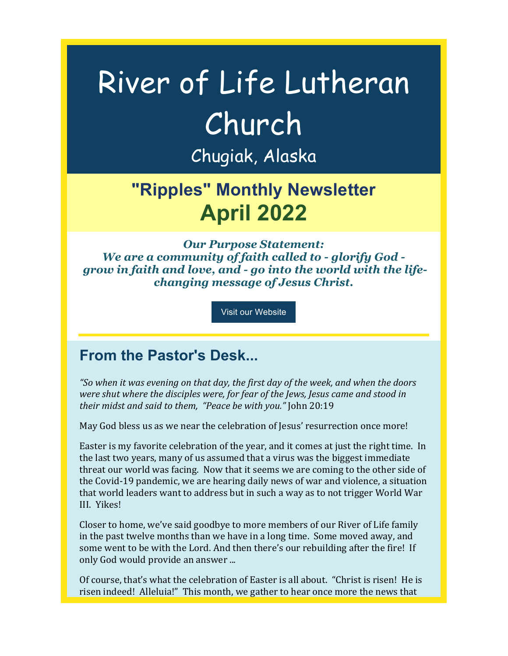# River of Life Lutheran Church Chugiak, Alaska

# **"Ripples" Monthly Newsletter April 2022**

*Our Purpose Statement: We are a community of faith called to - glorify God grow in faith and love, and - go into the world with the lifechanging message of Jesus Christ.*

Visit our Website

### **From the Pastor's Desk...**

"So when it was evening on that day, the first day of the week, and when the doors *were shut where the disciples were, for fear of the Jews, Jesus came and stood in their midst and said to them, "Peace be with you."* John 20:19

May God bless us as we near the celebration of Jesus' resurrection once more!

Easter is my favorite celebration of the year, and it comes at just the right time. In the last two years, many of us assumed that a virus was the biggest immediate threat our world was facing. Now that it seems we are coming to the other side of the Covid-19 pandemic, we are hearing daily news of war and violence, a situation that world leaders want to address but in such a way as to not trigger World War III. Yikes!

Closer to home, we've said goodbye to more members of our River of Life family in the past twelve months than we have in a long time. Some moved away, and some went to be with the Lord. And then there's our rebuilding after the fire! If only God would provide an answer ...

Of course, that's what the celebration of Easter is all about. "Christ is risen! He is risen indeed! Alleluia!" This month, we gather to hear once more the news that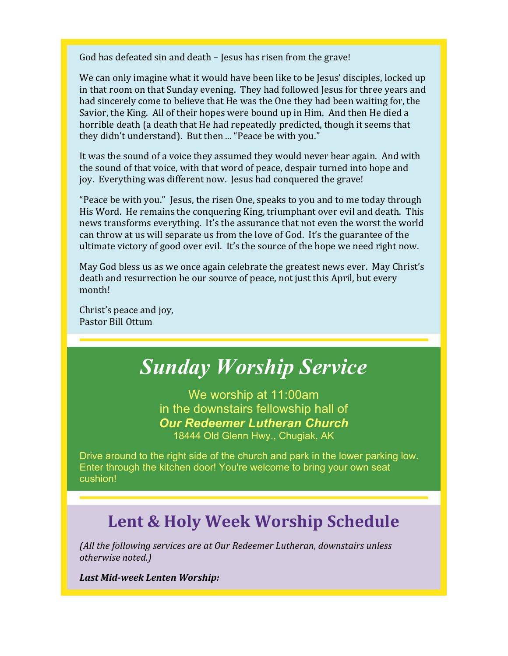God has defeated sin and death – Jesus has risen from the grave!

We can only imagine what it would have been like to be Jesus' disciples, locked up in that room on that Sunday evening. They had followed Jesus for three years and had sincerely come to believe that He was the One they had been waiting for, the Savior, the King. All of their hopes were bound up in Him. And then He died a horrible death (a death that He had repeatedly predicted, though it seems that they didn't understand). But then ... "Peace be with you."

It was the sound of a voice they assumed they would never hear again. And with the sound of that voice, with that word of peace, despair turned into hope and joy. Everything was different now. Jesus had conquered the grave!

"Peace be with you." Jesus, the risen One, speaks to you and to me today through His Word. He remains the conquering King, triumphant over evil and death. This news transforms everything. It's the assurance that not even the worst the world can throw at us will separate us from the love of God. It's the guarantee of the ultimate victory of good over evil. It's the source of the hope we need right now.

May God bless us as we once again celebrate the greatest news ever. May Christ's death and resurrection be our source of peace, not just this April, but every month!

Christ's peace and joy, Pastor Bill Ottum

# *Sunday Worship Service*

We worship at 11:00am in the downstairs fellowship hall of *Our Redeemer Lutheran Church* 18444 Old Glenn Hwy., Chugiak, AK

Drive around to the right side of the church and park in the lower parking low. Enter through the kitchen door! You're welcome to bring your own seat cushion!

### Lent & Holy Week Worship Schedule

*(All the following services are at Our Redeemer Lutheran, downstairs unless otherwise noted.)*

*Last Mid-week Lenten Worship:*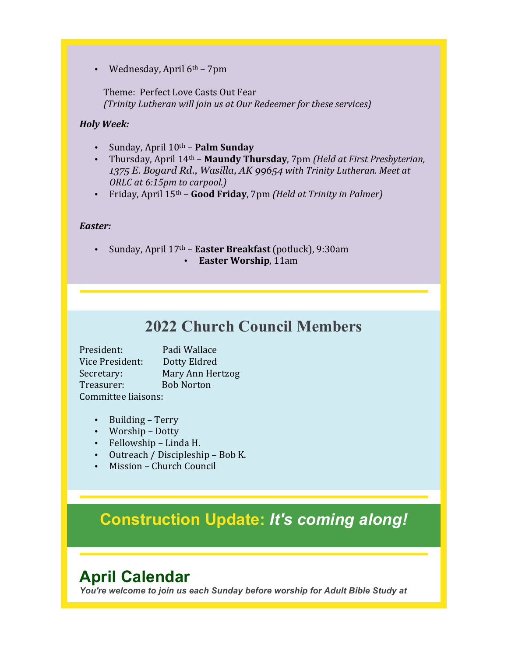Wednesday, April  $6<sup>th</sup>$  – 7pm

Theme: Perfect Love Casts Out Fear *(Trinity Lutheran will join us at Our Redeemer for these services)* 

#### *Holy Week:*

- Sunday, April 10th **Palm Sunday**
- Thursday, April 14<sup>th</sup> **Maundy Thursday**, 7pm *(Held at First Presbyterian,* 1375 E. Bogard Rd., Wasilla, AK 99654 with Trinity Lutheran. Meet at *ORLC* at 6:15pm to carpool.)
- Friday, April 15<sup>th</sup> **Good Friday**, 7pm *(Held at Trinity in Palmer)*

#### *Easter:*

Sunday, April 17<sup>th</sup> - Easter Breakfast (potluck), 9:30am • **Easter Worship**, 11am

### **2022 Church Council Members**

President: Padi Wallace Vice President: Dotty Eldred Secretary: Mary Ann Hertzog Treasurer: Bob Norton Committee liaisons:

- Building Terry
- Worship Dotty
- Fellowship Linda H.
- Outreach / Discipleship Bob K.
- Mission Church Council

### **Construction Update:** *It's coming along!*

### **April Calendar**

*You're welcome to join us each Sunday before worship for Adult Bible Study at*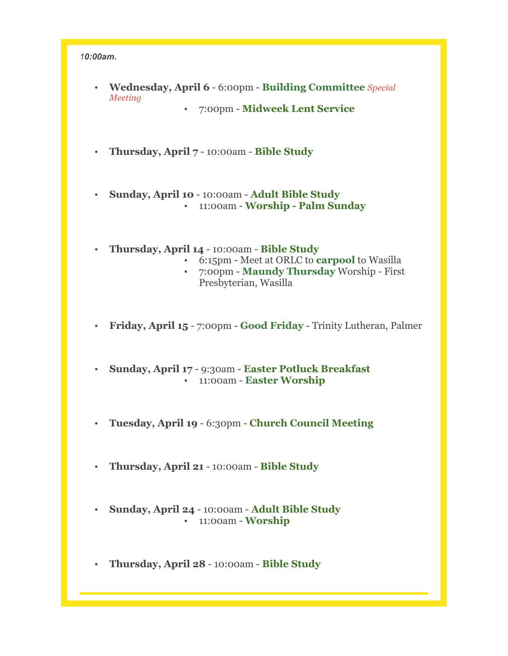#### *10:00am.*

- **Wednesday, April 6** 6:00pm **Building Committee** *Special Meeting*
	- 7:00pm **Midweek Lent Service**
- **Thursday, April 7** 10:00am **Bible Study**
- **Sunday, April 10** 10:00am **Adult Bible Study** • 11:00am - **Worship - Palm Sunday**
- **Thursday, April 14** 10:00am **Bible Study**
	- 6:15pm Meet at ORLC to **carpool** to Wasilla
	- 7:00pm **Maundy Thursday** Worship First Presbyterian, Wasilla
- **Friday, April 15**  7:00pm **Good Friday** Trinity Lutheran, Palmer
- **Sunday, April 17** 9:30am **Easter Potluck Breakfast** • 11:00am - **Easter Worship**
- **Tuesday, April 19** 6:30pm **Church Council Meeting**
- **Thursday, April 21** 10:00am **Bible Study**
- **Sunday, April 24** 10:00am **Adult Bible Study** • 11:00am - **Worship**
- **Thursday, April 28** 10:00am **Bible Study**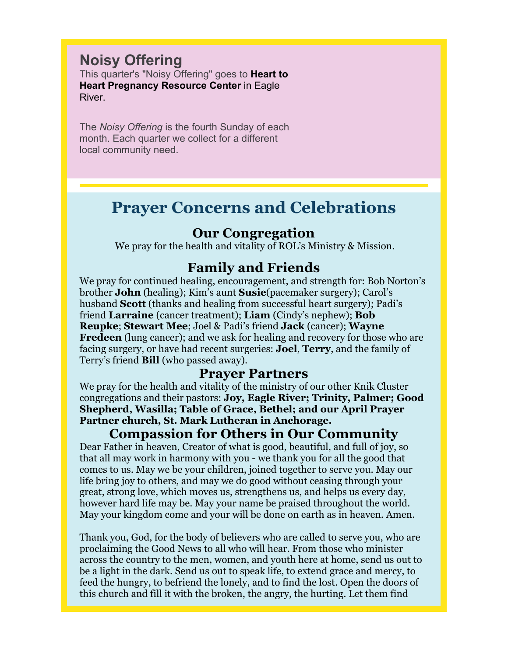#### **Noisy Offering**

This quarter's "Noisy Offering" goes to **Heart to Heart Pregnancy Resource Center** in Eagle River.

The *Noisy Offering* is the fourth Sunday of each month. Each quarter we collect for a different local community need.

### **Prayer Concerns and Celebrations**

#### **Our Congregation**

We pray for the health and vitality of ROL's Ministry & Mission.

#### **Family and Friends**

We pray for continued healing, encouragement, and strength for: Bob Norton's brother **John** (healing); Kim's aunt **Susie**(pacemaker surgery); Carol's husband **Scott** (thanks and healing from successful heart surgery); Padi's friend **Larraine** (cancer treatment); **Liam** (Cindy's nephew); **Bob Reupke**; **Stewart Mee**; Joel & Padi's friend **Jack** (cancer); **Wayne Fredeen** (lung cancer); and we ask for healing and recovery for those who are facing surgery, or have had recent surgeries: **Joel**, **Terry**, and the family of Terry's friend **Bill** (who passed away).

#### **Prayer Partners**

We pray for the health and vitality of the ministry of our other Knik Cluster congregations and their pastors: **Joy, Eagle River; Trinity, Palmer; Good Shepherd, Wasilla; Table of Grace, Bethel; and our April Prayer Partner church, St. Mark Lutheran in Anchorage.**

#### **Compassion for Others in Our Community**

Dear Father in heaven, Creator of what is good, beautiful, and full of joy, so that all may work in harmony with you - we thank you for all the good that comes to us. May we be your children, joined together to serve you. May our life bring joy to others, and may we do good without ceasing through your great, strong love, which moves us, strengthens us, and helps us every day, however hard life may be. May your name be praised throughout the world. May your kingdom come and your will be done on earth as in heaven. Amen.

Thank you, God, for the body of believers who are called to serve you, who are proclaiming the Good News to all who will hear. From those who minister across the country to the men, women, and youth here at home, send us out to be a light in the dark. Send us out to speak life, to extend grace and mercy, to feed the hungry, to befriend the lonely, and to find the lost. Open the doors of this church and fill it with the broken, the angry, the hurting. Let them find